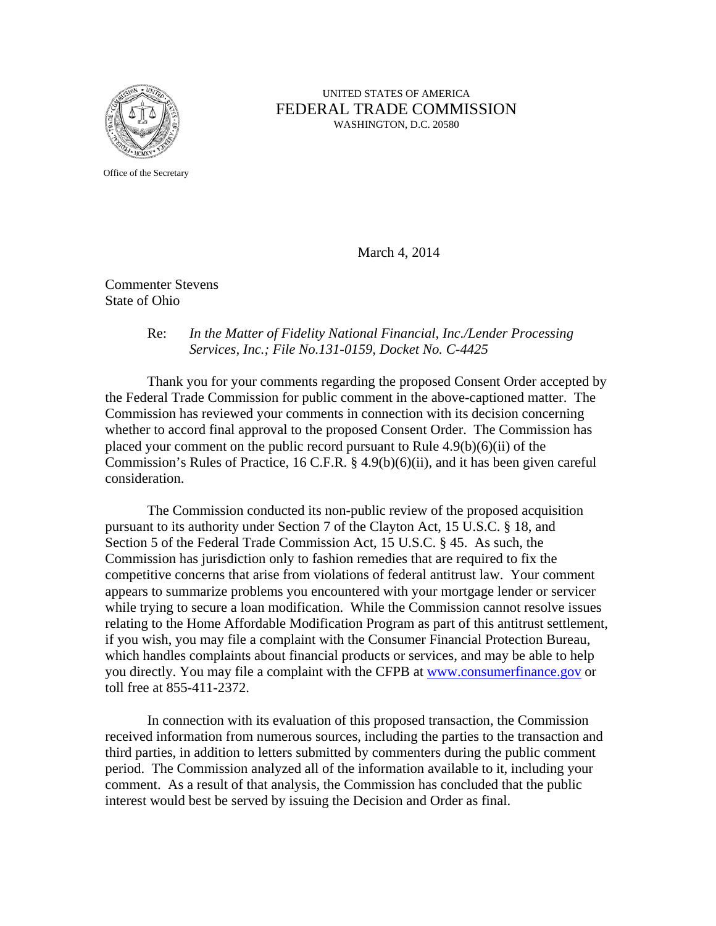

## UNITED STATES OF AMERICA FEDERAL TRADE COMMISSION WASHINGTON, D.C. 20580

Office of the Secretary

March 4, 2014

Commenter Stevens State of Ohio

## Re: *In the Matter of Fidelity National Financial, Inc./Lender Processing Services, Inc.; File No.131-0159, Docket No. C-4425*

 Thank you for your comments regarding the proposed Consent Order accepted by the Federal Trade Commission for public comment in the above-captioned matter. The Commission has reviewed your comments in connection with its decision concerning whether to accord final approval to the proposed Consent Order. The Commission has placed your comment on the public record pursuant to Rule  $4.9(b)(6)(ii)$  of the Commission's Rules of Practice, 16 C.F.R. § 4.9(b)(6)(ii), and it has been given careful consideration.

The Commission conducted its non-public review of the proposed acquisition pursuant to its authority under Section 7 of the Clayton Act, 15 U.S.C. § 18, and Section 5 of the Federal Trade Commission Act, 15 U.S.C. § 45. As such, the Commission has jurisdiction only to fashion remedies that are required to fix the competitive concerns that arise from violations of federal antitrust law. Your comment appears to summarize problems you encountered with your mortgage lender or servicer while trying to secure a loan modification. While the Commission cannot resolve issues relating to the Home Affordable Modification Program as part of this antitrust settlement, if you wish, you may file a complaint with the Consumer Financial Protection Bureau, which handles complaints about financial products or services, and may be able to help you directly. You may file a complaint with the CFPB at www.consumerfinance.gov or toll free at 855-411-2372.

 In connection with its evaluation of this proposed transaction, the Commission received information from numerous sources, including the parties to the transaction and third parties, in addition to letters submitted by commenters during the public comment period. The Commission analyzed all of the information available to it, including your comment. As a result of that analysis, the Commission has concluded that the public interest would best be served by issuing the Decision and Order as final.